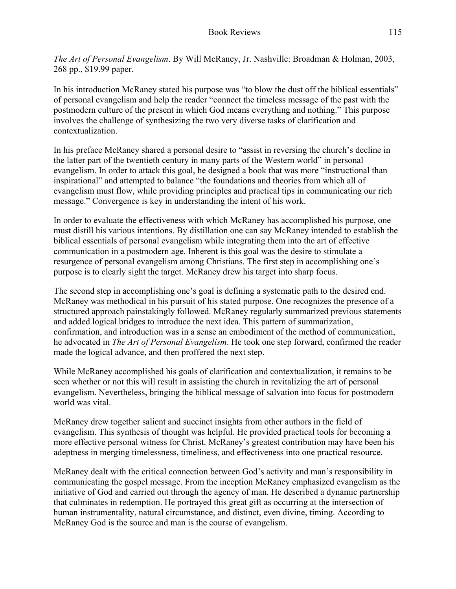*The Art of Personal Evangelism*. By Will McRaney, Jr. Nashville: Broadman & Holman, 2003, 268 pp., \$19.99 paper.

In his introduction McRaney stated his purpose was "to blow the dust off the biblical essentials" of personal evangelism and help the reader "connect the timeless message of the past with the postmodern culture of the present in which God means everything and nothing." This purpose involves the challenge of synthesizing the two very diverse tasks of clarification and contextualization.

In his preface McRaney shared a personal desire to "assist in reversing the church's decline in the latter part of the twentieth century in many parts of the Western world" in personal evangelism. In order to attack this goal, he designed a book that was more "instructional than inspirational" and attempted to balance "the foundations and theories from which all of evangelism must flow, while providing principles and practical tips in communicating our rich message." Convergence is key in understanding the intent of his work.

In order to evaluate the effectiveness with which McRaney has accomplished his purpose, one must distill his various intentions. By distillation one can say McRaney intended to establish the biblical essentials of personal evangelism while integrating them into the art of effective communication in a postmodern age. Inherent is this goal was the desire to stimulate a resurgence of personal evangelism among Christians. The first step in accomplishing one's purpose is to clearly sight the target. McRaney drew his target into sharp focus.

The second step in accomplishing one's goal is defining a systematic path to the desired end. McRaney was methodical in his pursuit of his stated purpose. One recognizes the presence of a structured approach painstakingly followed. McRaney regularly summarized previous statements and added logical bridges to introduce the next idea. This pattern of summarization, confirmation, and introduction was in a sense an embodiment of the method of communication, he advocated in *The Art of Personal Evangelism*. He took one step forward, confirmed the reader made the logical advance, and then proffered the next step.

While McRaney accomplished his goals of clarification and contextualization, it remains to be seen whether or not this will result in assisting the church in revitalizing the art of personal evangelism. Nevertheless, bringing the biblical message of salvation into focus for postmodern world was vital.

McRaney drew together salient and succinct insights from other authors in the field of evangelism. This synthesis of thought was helpful. He provided practical tools for becoming a more effective personal witness for Christ. McRaney's greatest contribution may have been his adeptness in merging timelessness, timeliness, and effectiveness into one practical resource.

McRaney dealt with the critical connection between God's activity and man's responsibility in communicating the gospel message. From the inception McRaney emphasized evangelism as the initiative of God and carried out through the agency of man. He described a dynamic partnership that culminates in redemption. He portrayed this great gift as occurring at the intersection of human instrumentality, natural circumstance, and distinct, even divine, timing. According to McRaney God is the source and man is the course of evangelism.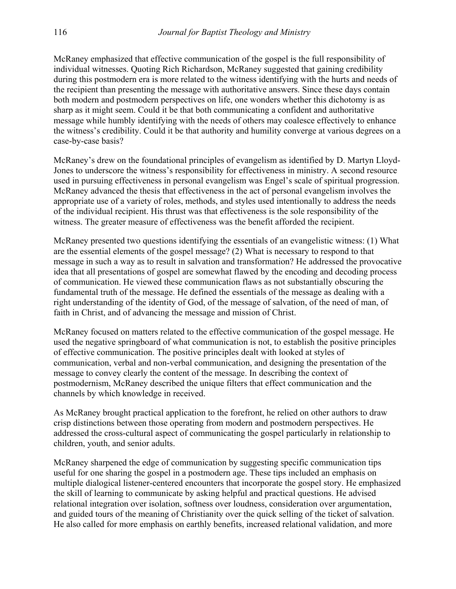McRaney emphasized that effective communication of the gospel is the full responsibility of individual witnesses. Quoting Rich Richardson, McRaney suggested that gaining credibility during this postmodern era is more related to the witness identifying with the hurts and needs of the recipient than presenting the message with authoritative answers. Since these days contain both modern and postmodern perspectives on life, one wonders whether this dichotomy is as sharp as it might seem. Could it be that both communicating a confident and authoritative message while humbly identifying with the needs of others may coalesce effectively to enhance the witness's credibility. Could it be that authority and humility converge at various degrees on a case-by-case basis?

McRaney's drew on the foundational principles of evangelism as identified by D. Martyn Lloyd-Jones to underscore the witness's responsibility for effectiveness in ministry. A second resource used in pursuing effectiveness in personal evangelism was Engel's scale of spiritual progression. McRaney advanced the thesis that effectiveness in the act of personal evangelism involves the appropriate use of a variety of roles, methods, and styles used intentionally to address the needs of the individual recipient. His thrust was that effectiveness is the sole responsibility of the witness. The greater measure of effectiveness was the benefit afforded the recipient.

McRaney presented two questions identifying the essentials of an evangelistic witness: (1) What are the essential elements of the gospel message? (2) What is necessary to respond to that message in such a way as to result in salvation and transformation? He addressed the provocative idea that all presentations of gospel are somewhat flawed by the encoding and decoding process of communication. He viewed these communication flaws as not substantially obscuring the fundamental truth of the message. He defined the essentials of the message as dealing with a right understanding of the identity of God, of the message of salvation, of the need of man, of faith in Christ, and of advancing the message and mission of Christ.

McRaney focused on matters related to the effective communication of the gospel message. He used the negative springboard of what communication is not, to establish the positive principles of effective communication. The positive principles dealt with looked at styles of communication, verbal and non-verbal communication, and designing the presentation of the message to convey clearly the content of the message. In describing the context of postmodernism, McRaney described the unique filters that effect communication and the channels by which knowledge in received.

As McRaney brought practical application to the forefront, he relied on other authors to draw crisp distinctions between those operating from modern and postmodern perspectives. He addressed the cross-cultural aspect of communicating the gospel particularly in relationship to children, youth, and senior adults.

McRaney sharpened the edge of communication by suggesting specific communication tips useful for one sharing the gospel in a postmodern age. These tips included an emphasis on multiple dialogical listener-centered encounters that incorporate the gospel story. He emphasized the skill of learning to communicate by asking helpful and practical questions. He advised relational integration over isolation, softness over loudness, consideration over argumentation, and guided tours of the meaning of Christianity over the quick selling of the ticket of salvation. He also called for more emphasis on earthly benefits, increased relational validation, and more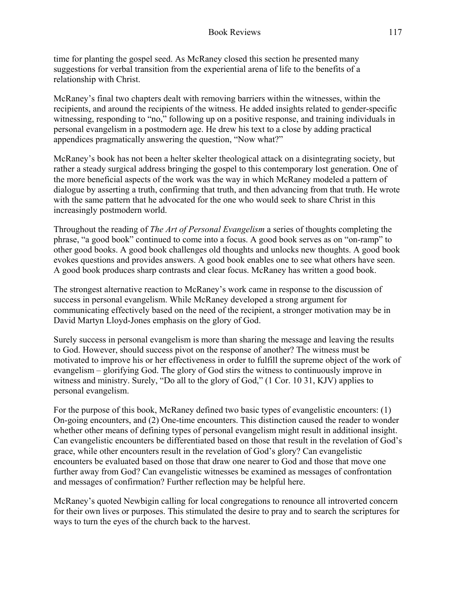time for planting the gospel seed. As McRaney closed this section he presented many suggestions for verbal transition from the experiential arena of life to the benefits of a relationship with Christ.

McRaney's final two chapters dealt with removing barriers within the witnesses, within the recipients, and around the recipients of the witness. He added insights related to gender-specific witnessing, responding to "no," following up on a positive response, and training individuals in personal evangelism in a postmodern age. He drew his text to a close by adding practical appendices pragmatically answering the question, "Now what?"

McRaney's book has not been a helter skelter theological attack on a disintegrating society, but rather a steady surgical address bringing the gospel to this contemporary lost generation. One of the more beneficial aspects of the work was the way in which McRaney modeled a pattern of dialogue by asserting a truth, confirming that truth, and then advancing from that truth. He wrote with the same pattern that he advocated for the one who would seek to share Christ in this increasingly postmodern world.

Throughout the reading of *The Art of Personal Evangelism* a series of thoughts completing the phrase, "a good book" continued to come into a focus. A good book serves as on "on-ramp" to other good books. A good book challenges old thoughts and unlocks new thoughts. A good book evokes questions and provides answers. A good book enables one to see what others have seen. A good book produces sharp contrasts and clear focus. McRaney has written a good book.

The strongest alternative reaction to McRaney's work came in response to the discussion of success in personal evangelism. While McRaney developed a strong argument for communicating effectively based on the need of the recipient, a stronger motivation may be in David Martyn Lloyd-Jones emphasis on the glory of God.

Surely success in personal evangelism is more than sharing the message and leaving the results to God. However, should success pivot on the response of another? The witness must be motivated to improve his or her effectiveness in order to fulfill the supreme object of the work of evangelism – glorifying God. The glory of God stirs the witness to continuously improve in witness and ministry. Surely, "Do all to the glory of God," (1 Cor. 10 31, KJV) applies to personal evangelism.

For the purpose of this book, McRaney defined two basic types of evangelistic encounters: (1) On-going encounters, and (2) One-time encounters. This distinction caused the reader to wonder whether other means of defining types of personal evangelism might result in additional insight. Can evangelistic encounters be differentiated based on those that result in the revelation of God's grace, while other encounters result in the revelation of God's glory? Can evangelistic encounters be evaluated based on those that draw one nearer to God and those that move one further away from God? Can evangelistic witnesses be examined as messages of confrontation and messages of confirmation? Further reflection may be helpful here.

McRaney's quoted Newbigin calling for local congregations to renounce all introverted concern for their own lives or purposes. This stimulated the desire to pray and to search the scriptures for ways to turn the eyes of the church back to the harvest.